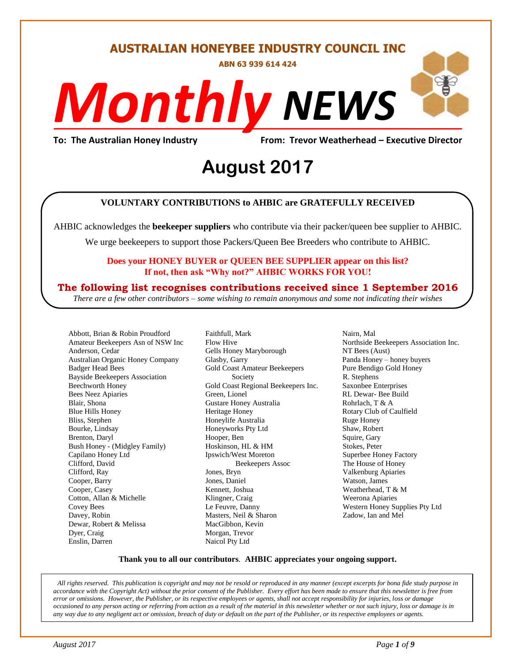**AUSTRALIAN HONEYBEE INDUSTRY COUNCIL INC**

**ABN 63 939 614 424**

# *NEWS Monthly*

**To: The Australian Honey Industry From: Trevor Weatherhead – Executive Director**

# *DS* **August 2017**

#### **VOLUNTARY CONTRIBUTIONS to AHBIC are GRATEFULLY RECEIVED**

AHBIC acknowledges the **beekeeper suppliers** who contribute via their packer/queen bee supplier to AHBIC.

We urge beekeepers to support those Packers/Queen Bee Breeders who contribute to AHBIC.

#### **Does your HONEY BUYER or QUEEN BEE SUPPLIER appear on this list? If not, then ask "Why not?" AHBIC WORKS FOR YOU!**

#### **The following list recognises contributions received since 1 September 2016**

*There are a few other contributors – some wishing to remain anonymous and some not indicating their wishes*

Abbott, Brian & Robin Proudford Amateur Beekeepers Asn of NSW Inc Anderson, Cedar Australian Organic Honey Company Badger Head Bees Bayside Beekeepers Association Beechworth Honey Bees Neez Apiaries Blair, Shona Blue Hills Honey Bliss, Stephen Bourke, Lindsay Brenton, Daryl Bush Honey - (Midgley Family) Capilano Honey Ltd Clifford, David Clifford, Ray Cooper, Barry Cooper, Casey Cotton, Allan & Michelle Covey Bees Davey, Robin Dewar, Robert & Melissa Dyer, Craig Enslin, Darren

Faithfull, Mark Flow Hive Gells Honey Maryborough Glasby, Garry Gold Coast Amateur Beekeepers Society Gold Coast Regional Beekeepers Inc. Green, Lionel Gustare Honey Australia Heritage Honey Honeylife Australia Honeyworks Pty Ltd Hooper, Ben Hoskinson, HL & HM Ipswich/West Moreton Beekeepers Assoc Jones, Bryn Jones, Daniel Kennett, Joshua Klingner, Craig Le Feuvre, Danny Masters, Neil & Sharon MacGibbon, Kevin Morgan, Trevor Naicol Pty Ltd

Nairn, Mal Northside Beekeepers Association Inc. NT Bees (Aust) Panda Honey – honey buyers Pure Bendigo Gold Honey R. Stephens Saxonbee Enterprises RL Dewar- Bee Build Rohrlach, T & A Rotary Club of Caulfield Ruge Honey Shaw, Robert Squire, Gary Stokes, Peter Superbee Honey Factory The House of Honey Valkenburg Apiaries Watson, James Weatherhead, T & M Weerona Apiaries Western Honey Supplies Pty Ltd Zadow, Ian and Mel

#### **Thank you to all our contributors***.* **AHBIC appreciates your ongoing support.**

*All rights reserved. This publication is copyright and may not be resold or reproduced in any manner (except excerpts for bona fide study purpose in accordance with the Copyright Act) without the prior consent of the Publisher. Every effort has been made to ensure that this newsletter is free from error or omissions. However, the Publisher, or its respective employees or agents, shall not accept responsibility for injuries, loss or damage occasioned to any person acting or referring from action as a result of the material in this newsletter whether or not such injury, loss or damage is in any way due to any negligent act or omission, breach of duty or default on the part of the Publisher, or its respective employees or agents.*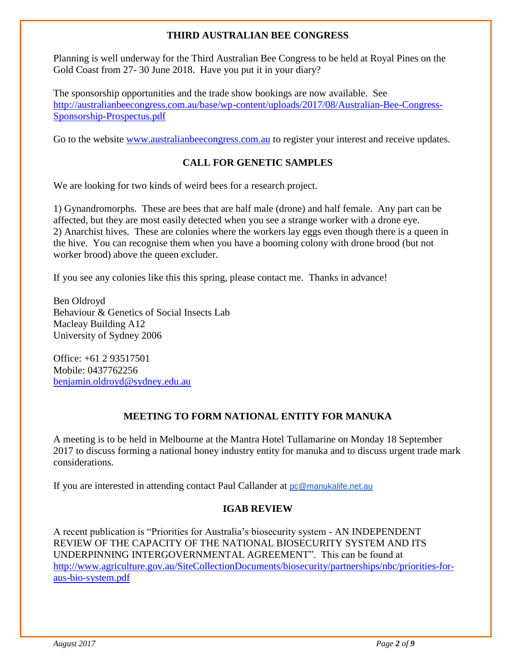#### **THIRD AUSTRALIAN BEE CONGRESS**

Planning is well underway for the Third Australian Bee Congress to be held at Royal Pines on the Gold Coast from 27- 30 June 2018. Have you put it in your diary?

The sponsorship opportunities and the trade show bookings are now available. See [http://australianbeecongress.com.au/base/wp-content/uploads/2017/08/Australian-Bee-Congress-](http://australianbeecongress.com.au/base/wp-content/uploads/2017/08/Australian-Bee-Congress-Sponsorship-Prospectus.pdf)[Sponsorship-Prospectus.pdf](http://australianbeecongress.com.au/base/wp-content/uploads/2017/08/Australian-Bee-Congress-Sponsorship-Prospectus.pdf)

Go to the website [www.australianbeecongress.com.au](http://www.australianbeecongress.com.au/) to register your interest and receive updates.

# **CALL FOR GENETIC SAMPLES**

We are looking for two kinds of weird bees for a research project.

1) Gynandromorphs. These are bees that are half male (drone) and half female. Any part can be affected, but they are most easily detected when you see a strange worker with a drone eye. 2) Anarchist hives. These are colonies where the workers lay eggs even though there is a queen in the hive. You can recognise them when you have a booming colony with drone brood (but not worker brood) above the queen excluder.

If you see any colonies like this this spring, please contact me. Thanks in advance!

Ben Oldroyd Behaviour & Genetics of Social Insects Lab Macleay Building A12 University of Sydney 2006

Office: +61 2 93517501 Mobile: 0437762256 [benjamin.oldroyd@sydney.edu.au](mailto:benjamin.oldroyd@sydney.edu.au)

# **MEETING TO FORM NATIONAL ENTITY FOR MANUKA**

A meeting is to be held in Melbourne at the Mantra Hotel Tullamarine on Monday 18 September 2017 to discuss forming a national honey industry entity for manuka and to discuss urgent trade mark considerations.

If you are interested in attending contact Paul Callander at [pc@manukalife.net.au](http://www.resources-wa.com.au/)

# **IGAB REVIEW**

A recent publication is "Priorities for Australia's biosecurity system - AN INDEPENDENT REVIEW OF THE CAPACITY OF THE NATIONAL BIOSECURITY SYSTEM AND ITS UNDERPINNING INTERGOVERNMENTAL AGREEMENT". This can be found at [http://www.agriculture.gov.au/SiteCollectionDocuments/biosecurity/partnerships/nbc/priorities-for](http://www.agriculture.gov.au/SiteCollectionDocuments/biosecurity/partnerships/nbc/priorities-for-aus-bio-system.pdf)[aus-bio-system.pdf](http://www.agriculture.gov.au/SiteCollectionDocuments/biosecurity/partnerships/nbc/priorities-for-aus-bio-system.pdf)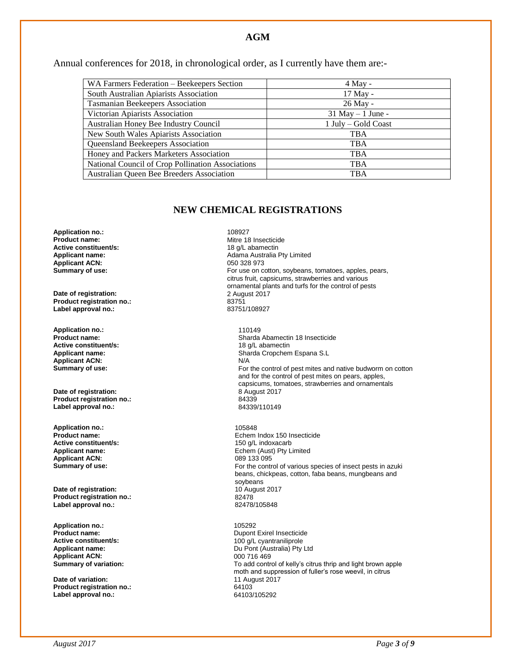#### **AGM**

Annual conferences for 2018, in chronological order, as I currently have them are:-

| WA Farmers Federation - Beekeepers Section        | $4$ May -            |
|---------------------------------------------------|----------------------|
| South Australian Apiarists Association            | 17 May -             |
| <b>Tasmanian Beekeepers Association</b>           | 26 May -             |
| Victorian Apiarists Association                   | $31$ May $-1$ June - |
| Australian Honey Bee Industry Council             | 1 July – Gold Coast  |
| New South Wales Apiarists Association             | TBA                  |
| Queensland Beekeepers Association                 | TBA                  |
| Honey and Packers Marketers Association           | <b>TBA</b>           |
| National Council of Crop Pollination Associations | <b>TBA</b>           |
| Australian Queen Bee Breeders Association         | <b>TBA</b>           |

#### **NEW CHEMICAL REGISTRATIONS**

**Application no.:** 108927<br>**Product name:** 108927 **Active constituent/s:**<br>Applicant name: Applicant ACN:<br>Summary of use:

**Date of registration:** 2 August 2 August 2 August 2 August 2 August 2 August 2 August 2 August 2017<br> **Product registration no.:** 23751 **Product registration no.:** 83751 Label approval no.:

**Application no.:** 110149 **Active constituent/s:**<br>Applicant name: **Applicant ACN:**<br>Summary of use:

**Date of registration:** 8 August 2017 8 August 2017 8 24339 **Product registration no.:** 84339 **Label approval no.:** 

**Application no.:** 105848 **Active constituent/s:** <br> **Applicant name:** <br> **Applicant name:** <br> **Applicant name:** <br> **Applicant name:** <br> **Applicant name:** <br> **Applicant name:** <br> **Applicant name:** <br> **Applicant name:** <br> **Applicant name:** <br> **Applicant name: Applicant ACN:**<br>Summary of use:

**Date of registration:** 10 August 2017<br> **Product registration no.:** 82478 **Product registration no.:** 82478 Label approval no.:

**Application no.:** 105292 **Applicant ACN:** 000 716 469<br> **Summary of variation:** Campion Control Control Control Control Control Control Control Control Control Control Control Control Control Control Control Control Control Control Control Control

**Date of variation: Product registration no.:** 64103 **Label approval no.:** 

Mitre 18 Insecticide<br>18  $a/L$  abamectin Adama Australia Pty Limited<br>050 328 973 For use on cotton, soybeans, tomatoes, apples, pears, citrus fruit, capsicums, strawberries and various ornamental plants and turfs for the control of pests

Sharda Abamectin 18 Insecticide<br>18  $a/L$  abamectin Sharda Cropchem Espana S.L<br>N/A For the control of pest mites and native budworm on cotton and for the control of pest mites on pears, apples, capsicums, tomatoes, strawberries and ornamentals

**Product name: Product name: Product name: Product name: Product name: Product name: Product name: Product name: Product name: Product name: Product name: Product name: Product name: Product name:** Echem (Aust) Pty Limited<br>089 133 095 For the control of various species of insect pests in azuki beans, chickpeas, cotton, faba beans, mungbeans and soybeans

**Product name:** Dupont Exirel Insecticide **Active constituent/s:** <br> **Applicant name:** <br> **Applicant name:** <br> **Applicant name:** <br> **Du Pont (Australia) Pty I** Du Pont (Australia) Pty Ltd To add control of kelly's citrus thrip and light brown apple moth and suppression of fuller's rose weevil, in citrus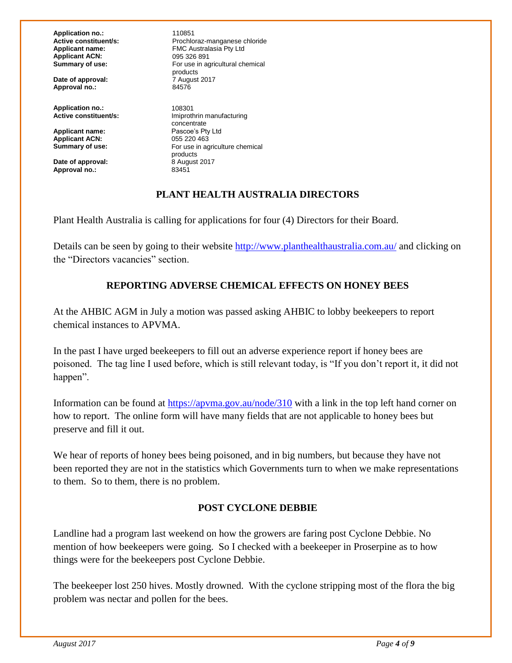**Application no.:** 110851<br> **Active constituent/s:** Prochlc **Applicant ACN:** 095 326 891<br> **Summary of use:** For use in a

**Date of approval: Approval no.:** 84576

**Application no.:** 108301<br>**Active constituent/s: 108301** 

**Applicant name:** Pascoe's Pty<br> **Applicant ACN:** 055 220 463 Applicant ACN:<br>Summary of use:

**Date of approval: Approval no.:** 83451

**Active constituent/s:** Prochloraz-manganese chloride<br> **Applicant name:** FMC Australasia Ptv Ltd **FMC Australasia Pty Ltd** For use in agricultural chemical products<br>7 August 2017

> **Imiprothrin manufacturing** concentrate<br>Pascoe's Pty Ltd **Summary of use:** For use in agriculture chemical products<br>8 August 2017

#### **PLANT HEALTH AUSTRALIA DIRECTORS**

Plant Health Australia is calling for applications for four (4) Directors for their Board.

Details can be seen by going to their website<http://www.planthealthaustralia.com.au/> and clicking on the "Directors vacancies" section.

# **REPORTING ADVERSE CHEMICAL EFFECTS ON HONEY BEES**

At the AHBIC AGM in July a motion was passed asking AHBIC to lobby beekeepers to report chemical instances to APVMA.

In the past I have urged beekeepers to fill out an adverse experience report if honey bees are poisoned. The tag line I used before, which is still relevant today, is "If you don't report it, it did not happen".

Information can be found at<https://apvma.gov.au/node/310> with a link in the top left hand corner on how to report. The online form will have many fields that are not applicable to honey bees but preserve and fill it out.

We hear of reports of honey bees being poisoned, and in big numbers, but because they have not been reported they are not in the statistics which Governments turn to when we make representations to them. So to them, there is no problem.

#### **POST CYCLONE DEBBIE**

Landline had a program last weekend on how the growers are faring post Cyclone Debbie. No mention of how beekeepers were going. So I checked with a beekeeper in Proserpine as to how things were for the beekeepers post Cyclone Debbie.

The beekeeper lost 250 hives. Mostly drowned. With the cyclone stripping most of the flora the big problem was nectar and pollen for the bees.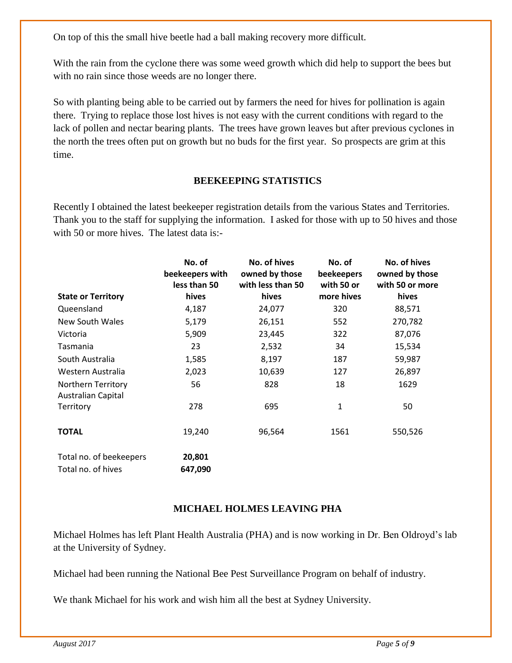On top of this the small hive beetle had a ball making recovery more difficult.

With the rain from the cyclone there was some weed growth which did help to support the bees but with no rain since those weeds are no longer there.

So with planting being able to be carried out by farmers the need for hives for pollination is again there. Trying to replace those lost hives is not easy with the current conditions with regard to the lack of pollen and nectar bearing plants. The trees have grown leaves but after previous cyclones in the north the trees often put on growth but no buds for the first year. So prospects are grim at this time.

# **BEEKEEPING STATISTICS**

Recently I obtained the latest beekeeper registration details from the various States and Territories. Thank you to the staff for supplying the information. I asked for those with up to 50 hives and those with 50 or more hives. The latest data is:-

| <b>State or Territory</b> | No. of<br>beekeepers with<br>less than 50<br>hives | No. of hives<br>owned by those<br>with less than 50<br>hives | No. of<br>beekeepers<br>with 50 or<br>more hives | No. of hives<br>owned by those<br>with 50 or more<br>hives |
|---------------------------|----------------------------------------------------|--------------------------------------------------------------|--------------------------------------------------|------------------------------------------------------------|
|                           |                                                    |                                                              |                                                  |                                                            |
| Queensland                | 4,187                                              | 24,077                                                       | 320                                              | 88,571                                                     |
| New South Wales           | 5,179                                              | 26,151                                                       | 552                                              | 270,782                                                    |
| Victoria                  | 5,909                                              | 23,445                                                       | 322                                              | 87,076                                                     |
| Tasmania                  | 23                                                 | 2,532                                                        | 34                                               | 15,534                                                     |
| South Australia           | 1,585                                              | 8,197                                                        | 187                                              | 59,987                                                     |
| Western Australia         | 2,023                                              | 10,639                                                       | 127                                              | 26,897                                                     |
| Northern Territory        | 56                                                 | 828                                                          | 18                                               | 1629                                                       |
| <b>Australian Capital</b> |                                                    |                                                              |                                                  |                                                            |
| Territory                 | 278                                                | 695                                                          | 1                                                | 50                                                         |
| <b>TOTAL</b>              | 19,240                                             | 96,564                                                       | 1561                                             | 550,526                                                    |
| Total no. of beekeepers   | 20,801                                             |                                                              |                                                  |                                                            |
| Total no. of hives        | 647,090                                            |                                                              |                                                  |                                                            |

#### **MICHAEL HOLMES LEAVING PHA**

Michael Holmes has left Plant Health Australia (PHA) and is now working in Dr. Ben Oldroyd's lab at the University of Sydney.

Michael had been running the National Bee Pest Surveillance Program on behalf of industry.

We thank Michael for his work and wish him all the best at Sydney University.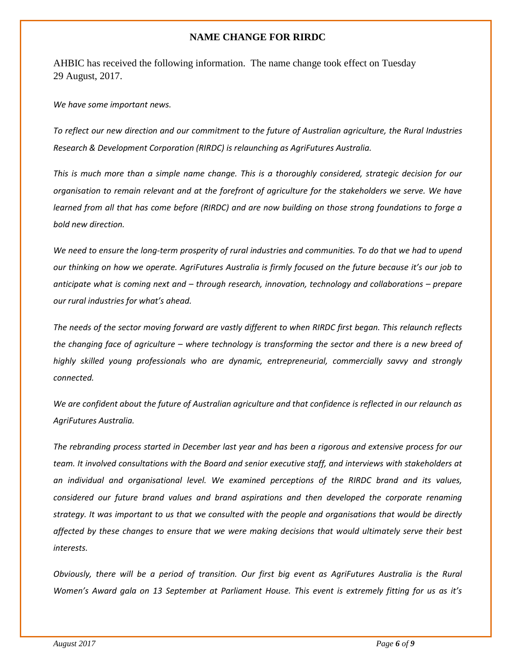#### **NAME CHANGE FOR RIRDC**

AHBIC has received the following information. The name change took effect on Tuesday 29 August, 2017.

#### *We have some important news.*

*To reflect our new direction and our commitment to the future of Australian agriculture, the Rural Industries Research & Development Corporation (RIRDC) is relaunching as AgriFutures Australia.*

*This is much more than a simple name change. This is a thoroughly considered, strategic decision for our organisation to remain relevant and at the forefront of agriculture for the stakeholders we serve. We have learned from all that has come before (RIRDC) and are now building on those strong foundations to forge a bold new direction.*

*We need to ensure the long-term prosperity of rural industries and communities. To do that we had to upend our thinking on how we operate. AgriFutures Australia is firmly focused on the future because it's our job to anticipate what is coming next and – through research, innovation, technology and collaborations – prepare our rural industries for what's ahead.*

*The needs of the sector moving forward are vastly different to when RIRDC first began. This relaunch reflects the changing face of agriculture – where technology is transforming the sector and there is a new breed of highly skilled young professionals who are dynamic, entrepreneurial, commercially savvy and strongly connected.*

*We are confident about the future of Australian agriculture and that confidence is reflected in our relaunch as AgriFutures Australia.*

*The rebranding process started in December last year and has been a rigorous and extensive process for our team. It involved consultations with the Board and senior executive staff, and interviews with stakeholders at an individual and organisational level. We examined perceptions of the RIRDC brand and its values, considered our future brand values and brand aspirations and then developed the corporate renaming strategy. It was important to us that we consulted with the people and organisations that would be directly affected by these changes to ensure that we were making decisions that would ultimately serve their best interests.* 

*Obviously, there will be a period of transition. Our first big event as AgriFutures Australia is the Rural Women's Award gala on 13 September at Parliament House. This event is extremely fitting for us as it's*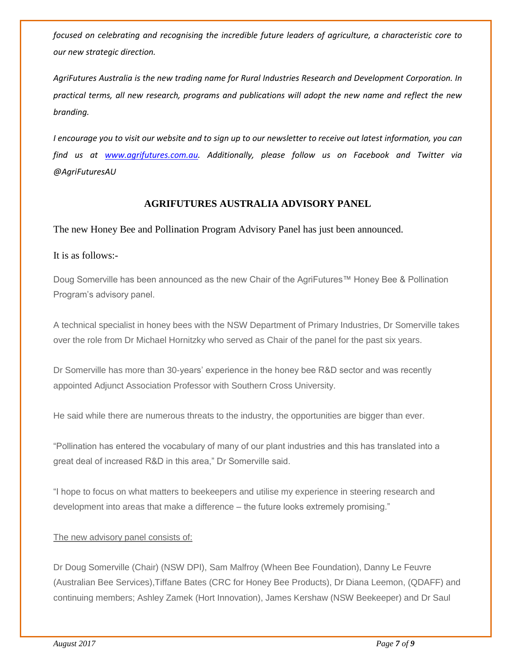*focused on celebrating and recognising the incredible future leaders of agriculture, a characteristic core to our new strategic direction.*

*AgriFutures Australia is the new trading name for Rural Industries Research and Development Corporation. In practical terms, all new research, programs and publications will adopt the new name and reflect the new branding.* 

*I encourage you to visit our website and to sign up to our newsletter to receive out latest information, you can find us at [www.agrifutures.com.au.](http://www.agrifutures.com.au/) Additionally, please follow us on Facebook and Twitter via @AgriFuturesAU*

#### **AGRIFUTURES AUSTRALIA ADVISORY PANEL**

The new Honey Bee and Pollination Program Advisory Panel has just been announced.

It is as follows:-

Doug Somerville has been announced as the new Chair of the AgriFutures™ Honey Bee & Pollination Program's advisory panel.

A technical specialist in honey bees with the NSW Department of Primary Industries, Dr Somerville takes over the role from Dr Michael Hornitzky who served as Chair of the panel for the past six years.

Dr Somerville has more than 30-years' experience in the honey bee R&D sector and was recently appointed Adjunct Association Professor with Southern Cross University.

He said while there are numerous threats to the industry, the opportunities are bigger than ever.

"Pollination has entered the vocabulary of many of our plant industries and this has translated into a great deal of increased R&D in this area," Dr Somerville said.

"I hope to focus on what matters to beekeepers and utilise my experience in steering research and development into areas that make a difference – the future looks extremely promising."

#### The new advisory panel consists of:

Dr Doug Somerville (Chair) (NSW DPI), Sam Malfroy (Wheen Bee Foundation), Danny Le Feuvre (Australian Bee Services),Tiffane Bates (CRC for Honey Bee Products), Dr Diana Leemon, (QDAFF) and continuing members; Ashley Zamek (Hort Innovation), James Kershaw (NSW Beekeeper) and Dr Saul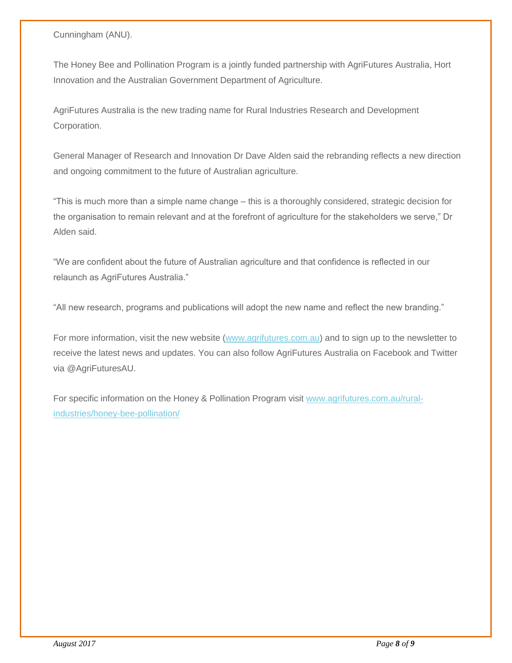Cunningham (ANU).

The Honey Bee and Pollination Program is a jointly funded partnership with AgriFutures Australia, Hort Innovation and the Australian Government Department of Agriculture.

AgriFutures Australia is the new trading name for Rural Industries Research and Development Corporation.

General Manager of Research and Innovation Dr Dave Alden said the rebranding reflects a new direction and ongoing commitment to the future of Australian agriculture.

"This is much more than a simple name change – this is a thoroughly considered, strategic decision for the organisation to remain relevant and at the forefront of agriculture for the stakeholders we serve," Dr Alden said.

"We are confident about the future of Australian agriculture and that confidence is reflected in our relaunch as AgriFutures Australia."

"All new research, programs and publications will adopt the new name and reflect the new branding."

For more information, visit the new website [\(www.agrifutures.com.au\)](http://coxinall.us7.list-manage.com/track/click?u=87f4462512400a53a67349d86&id=e479c009af&e=99278a1f2d) and to sign up to the newsletter to receive the latest news and updates. You can also follow AgriFutures Australia on Facebook and Twitter via @AgriFuturesAU.

For specific information on the Honey & Pollination Program visit [www.agrifutures.com.au/rural](http://coxinall.us7.list-manage.com/track/click?u=87f4462512400a53a67349d86&id=13a292589c&e=99278a1f2d)[industries/honey-bee-pollination/](http://coxinall.us7.list-manage.com/track/click?u=87f4462512400a53a67349d86&id=13a292589c&e=99278a1f2d)